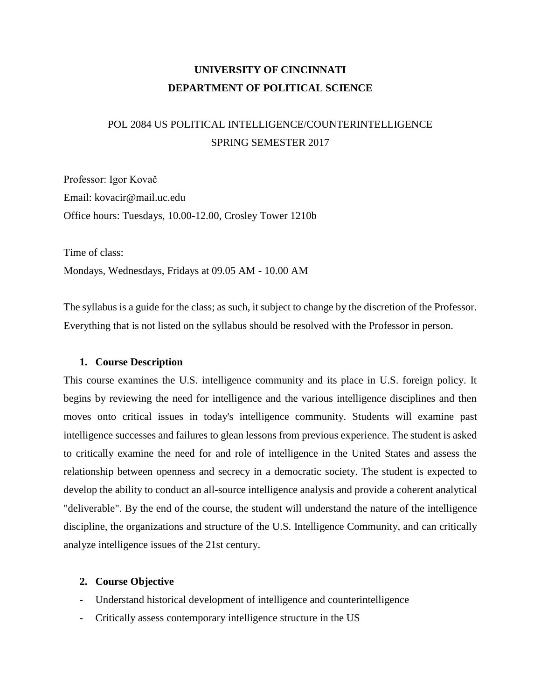# **UNIVERSITY OF CINCINNATI DEPARTMENT OF POLITICAL SCIENCE**

# POL 2084 US POLITICAL INTELLIGENCE/COUNTERINTELLIGENCE SPRING SEMESTER 2017

Professor: Igor Kovač Email: kovacir@mail.uc.edu Office hours: Tuesdays, 10.00-12.00, Crosley Tower 1210b

Time of class: Mondays, Wednesdays, Fridays at 09.05 AM - 10.00 AM

The syllabus is a guide for the class; as such, it subject to change by the discretion of the Professor. Everything that is not listed on the syllabus should be resolved with the Professor in person.

## **1. Course Description**

This course examines the U.S. intelligence community and its place in U.S. foreign policy. It begins by reviewing the need for intelligence and the various intelligence disciplines and then moves onto critical issues in today's intelligence community. Students will examine past intelligence successes and failures to glean lessons from previous experience. The student is asked to critically examine the need for and role of intelligence in the United States and assess the relationship between openness and secrecy in a democratic society. The student is expected to develop the ability to conduct an all-source intelligence analysis and provide a coherent analytical "deliverable". By the end of the course, the student will understand the nature of the intelligence discipline, the organizations and structure of the U.S. Intelligence Community, and can critically analyze intelligence issues of the 21st century.

## **2. Course Objective**

- Understand historical development of intelligence and counterintelligence
- Critically assess contemporary intelligence structure in the US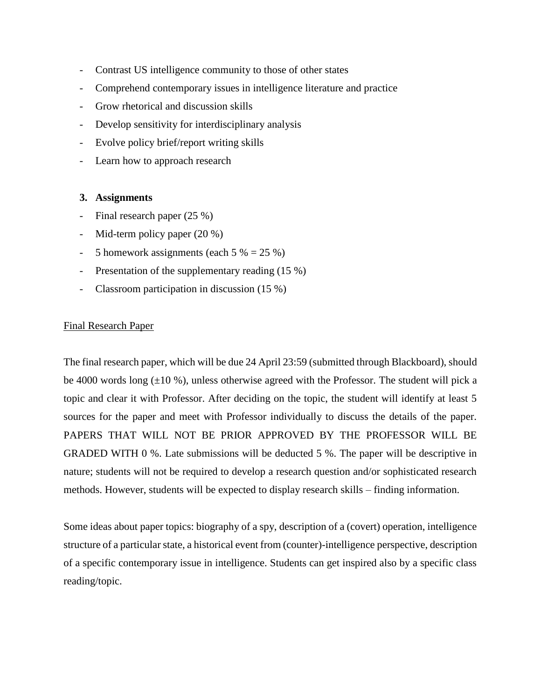- Contrast US intelligence community to those of other states
- Comprehend contemporary issues in intelligence literature and practice
- Grow rhetorical and discussion skills
- Develop sensitivity for interdisciplinary analysis
- Evolve policy brief/report writing skills
- Learn how to approach research

## **3. Assignments**

- Final research paper (25 %)
- Mid-term policy paper (20 %)
- 5 homework assignments (each  $5\% = 25\%$ )
- Presentation of the supplementary reading (15 %)
- Classroom participation in discussion (15 %)

## Final Research Paper

The final research paper, which will be due 24 April 23:59 (submitted through Blackboard), should be 4000 words long  $(\pm 10\%)$ , unless otherwise agreed with the Professor. The student will pick a topic and clear it with Professor. After deciding on the topic, the student will identify at least 5 sources for the paper and meet with Professor individually to discuss the details of the paper. PAPERS THAT WILL NOT BE PRIOR APPROVED BY THE PROFESSOR WILL BE GRADED WITH 0 %. Late submissions will be deducted 5 %. The paper will be descriptive in nature; students will not be required to develop a research question and/or sophisticated research methods. However, students will be expected to display research skills – finding information.

Some ideas about paper topics: biography of a spy, description of a (covert) operation, intelligence structure of a particular state, a historical event from (counter)-intelligence perspective, description of a specific contemporary issue in intelligence. Students can get inspired also by a specific class reading/topic.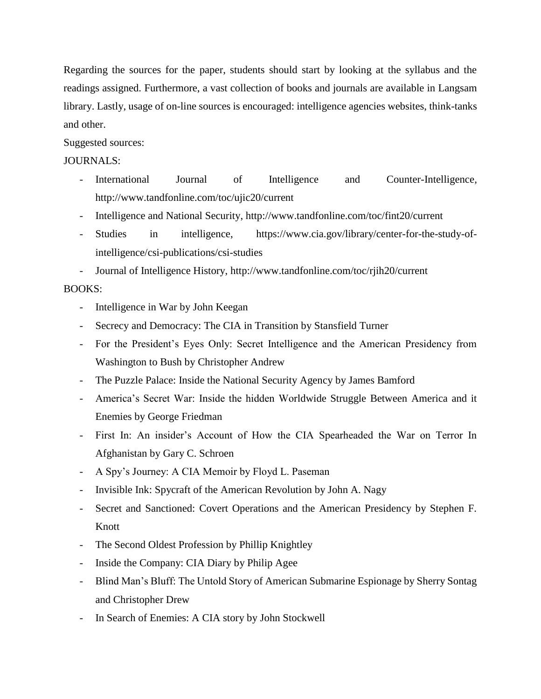Regarding the sources for the paper, students should start by looking at the syllabus and the readings assigned. Furthermore, a vast collection of books and journals are available in Langsam library. Lastly, usage of on-line sources is encouraged: intelligence agencies websites, think-tanks and other.

# Suggested sources:

# JOURNALS:

- International Journal of Intelligence and Counter-Intelligence, <http://www.tandfonline.com/toc/ujic20/current>
- Intelligence and National Security,<http://www.tandfonline.com/toc/fint20/current>
- Studies in intelligence, [https://www.cia.gov/library/center-for-the-study-of](https://www.cia.gov/library/center-for-the-study-of-intelligence/csi-publications/csi-studies)[intelligence/csi-publications/csi-studies](https://www.cia.gov/library/center-for-the-study-of-intelligence/csi-publications/csi-studies)
- Journal of Intelligence History,<http://www.tandfonline.com/toc/rjih20/current>

# BOOKS:

- Intelligence in War by John Keegan
- Secrecy and Democracy: The CIA in Transition by Stansfield Turner
- For the President's Eyes Only: Secret Intelligence and the American Presidency from Washington to Bush by Christopher Andrew
- The Puzzle Palace: Inside the National Security Agency by James Bamford
- America's Secret War: Inside the hidden Worldwide Struggle Between America and it Enemies by George Friedman
- First In: An insider's Account of How the CIA Spearheaded the War on Terror In Afghanistan by Gary C. Schroen
- A Spy's Journey: A CIA Memoir by Floyd L. Paseman
- Invisible Ink: Spycraft of the American Revolution by John A. Nagy
- Secret and Sanctioned: Covert Operations and the American Presidency by Stephen F. Knott
- The Second Oldest Profession by Phillip Knightley
- Inside the Company: CIA Diary by Philip Agee
- Blind Man's Bluff: The Untold Story of American Submarine Espionage by Sherry Sontag and Christopher Drew
- In Search of Enemies: A CIA story by John Stockwell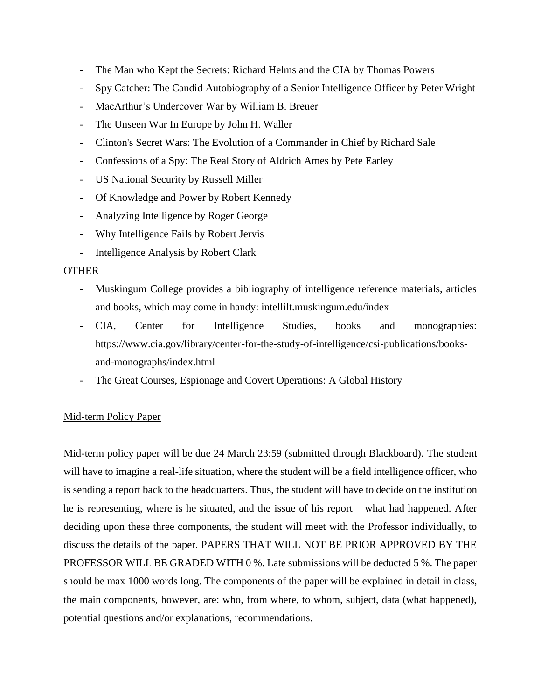- The Man who Kept the Secrets: Richard Helms and the CIA by Thomas Powers
- Spy Catcher: The Candid Autobiography of a Senior Intelligence Officer by Peter Wright
- MacArthur's Undercover War by William B. Breuer
- The Unseen War In Europe by John H. Waller
- Clinton's Secret Wars: The Evolution of a Commander in Chief by Richard Sale
- Confessions of a Spy: The Real Story of Aldrich Ames by Pete Earley
- US National Security by Russell Miller
- Of Knowledge and Power by Robert Kennedy
- Analyzing Intelligence by Roger George
- Why Intelligence Fails by Robert Jervis
- Intelligence Analysis by Robert Clark

# **OTHER**

- Muskingum College provides a bibliography of intelligence reference materials, articles and books, which may come in handy: intellilt.muskingum.edu/index
- CIA, Center for Intelligence Studies, books and monographies: [https://www.cia.gov/library/center-for-the-study-of-intelligence/csi-publications/books](https://www.cia.gov/library/center-for-the-study-of-intelligence/csi-publications/books-and-monographs/index.html)[and-monographs/index.html](https://www.cia.gov/library/center-for-the-study-of-intelligence/csi-publications/books-and-monographs/index.html)
- The Great Courses, Espionage and Covert Operations: A Global History

# Mid-term Policy Paper

Mid-term policy paper will be due 24 March 23:59 (submitted through Blackboard). The student will have to imagine a real-life situation, where the student will be a field intelligence officer, who is sending a report back to the headquarters. Thus, the student will have to decide on the institution he is representing, where is he situated, and the issue of his report – what had happened. After deciding upon these three components, the student will meet with the Professor individually, to discuss the details of the paper. PAPERS THAT WILL NOT BE PRIOR APPROVED BY THE PROFESSOR WILL BE GRADED WITH 0 %. Late submissions will be deducted 5 %. The paper should be max 1000 words long. The components of the paper will be explained in detail in class, the main components, however, are: who, from where, to whom, subject, data (what happened), potential questions and/or explanations, recommendations.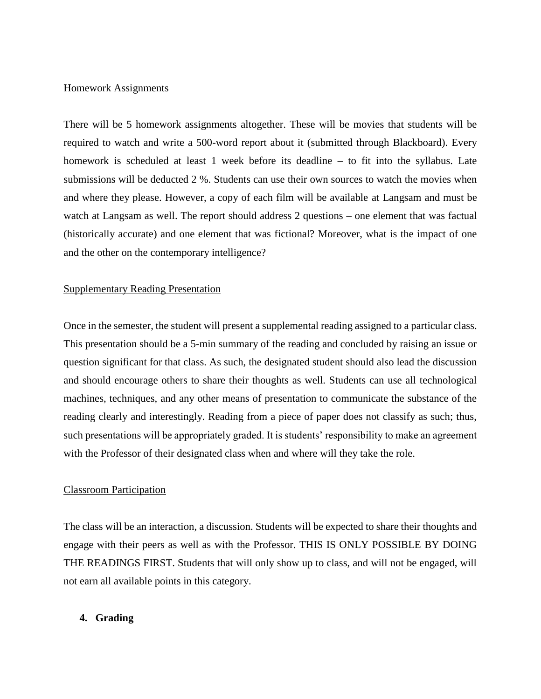#### Homework Assignments

There will be 5 homework assignments altogether. These will be movies that students will be required to watch and write a 500-word report about it (submitted through Blackboard). Every homework is scheduled at least 1 week before its deadline – to fit into the syllabus. Late submissions will be deducted 2 %. Students can use their own sources to watch the movies when and where they please. However, a copy of each film will be available at Langsam and must be watch at Langsam as well. The report should address 2 questions – one element that was factual (historically accurate) and one element that was fictional? Moreover, what is the impact of one and the other on the contemporary intelligence?

#### Supplementary Reading Presentation

Once in the semester, the student will present a supplemental reading assigned to a particular class. This presentation should be a 5-min summary of the reading and concluded by raising an issue or question significant for that class. As such, the designated student should also lead the discussion and should encourage others to share their thoughts as well. Students can use all technological machines, techniques, and any other means of presentation to communicate the substance of the reading clearly and interestingly. Reading from a piece of paper does not classify as such; thus, such presentations will be appropriately graded. It is students' responsibility to make an agreement with the Professor of their designated class when and where will they take the role.

#### Classroom Participation

The class will be an interaction, a discussion. Students will be expected to share their thoughts and engage with their peers as well as with the Professor. THIS IS ONLY POSSIBLE BY DOING THE READINGS FIRST. Students that will only show up to class, and will not be engaged, will not earn all available points in this category.

#### **4. Grading**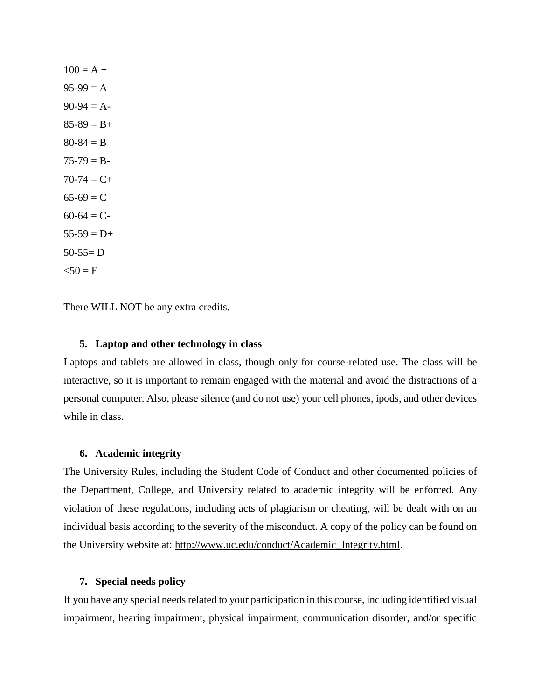$100 = A +$  $95-99 = A$  $90-94 = A$  $85-89 = B +$  $80 - 84 = B$  $75-79 = B 70-74 = C +$  $65-69 = C$  $60-64 = C$  $55-59 = D+$  $50-55=D$  $50 = F$ 

There WILL NOT be any extra credits.

#### **5. Laptop and other technology in class**

Laptops and tablets are allowed in class, though only for course-related use. The class will be interactive, so it is important to remain engaged with the material and avoid the distractions of a personal computer. Also, please silence (and do not use) your cell phones, ipods, and other devices while in class.

#### **6. Academic integrity**

The University Rules, including the Student Code of Conduct and other documented policies of the Department, College, and University related to academic integrity will be enforced. Any violation of these regulations, including acts of plagiarism or cheating, will be dealt with on an individual basis according to the severity of the misconduct. A copy of the policy can be found on the University website at: [http://www.uc.edu/conduct/Academic\\_Integrity.html.](http://www.uc.edu/conduct/Academic_Integrity.html)

#### **7. Special needs policy**

If you have any special needs related to your participation in this course, including identified visual impairment, hearing impairment, physical impairment, communication disorder, and/or specific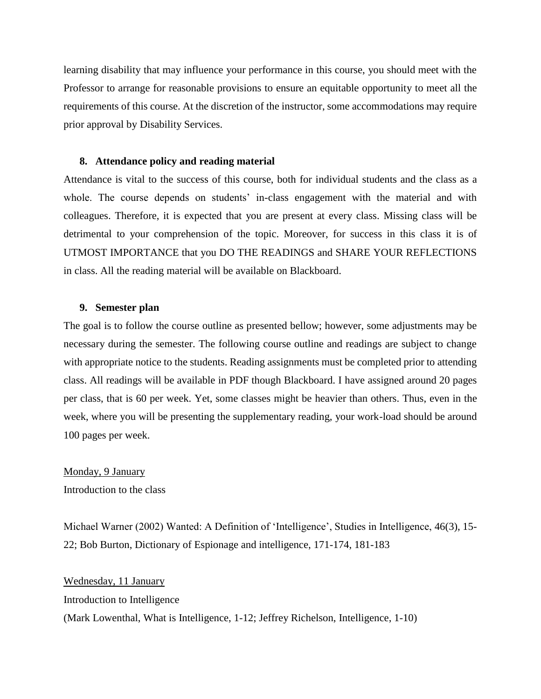learning disability that may influence your performance in this course, you should meet with the Professor to arrange for reasonable provisions to ensure an equitable opportunity to meet all the requirements of this course. At the discretion of the instructor, some accommodations may require prior approval by Disability Services.

#### **8. Attendance policy and reading material**

Attendance is vital to the success of this course, both for individual students and the class as a whole. The course depends on students' in-class engagement with the material and with colleagues. Therefore, it is expected that you are present at every class. Missing class will be detrimental to your comprehension of the topic. Moreover, for success in this class it is of UTMOST IMPORTANCE that you DO THE READINGS and SHARE YOUR REFLECTIONS in class. All the reading material will be available on Blackboard.

#### **9. Semester plan**

The goal is to follow the course outline as presented bellow; however, some adjustments may be necessary during the semester. The following course outline and readings are subject to change with appropriate notice to the students. Reading assignments must be completed prior to attending class. All readings will be available in PDF though Blackboard. I have assigned around 20 pages per class, that is 60 per week. Yet, some classes might be heavier than others. Thus, even in the week, where you will be presenting the supplementary reading, your work-load should be around 100 pages per week.

Monday, 9 January Introduction to the class

Michael Warner (2002) Wanted: A Definition of 'Intelligence', Studies in Intelligence, 46(3), 15- 22; Bob Burton, Dictionary of Espionage and intelligence, 171-174, 181-183

Wednesday, 11 January Introduction to Intelligence (Mark Lowenthal, What is Intelligence, 1-12; Jeffrey Richelson, Intelligence, 1-10)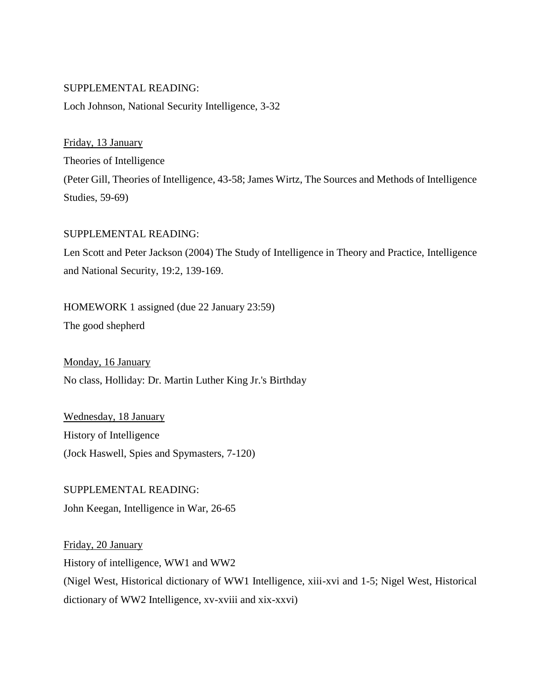Loch Johnson, National Security Intelligence, 3-32

Friday, 13 January Theories of Intelligence (Peter Gill, Theories of Intelligence, 43-58; James Wirtz, The Sources and Methods of Intelligence Studies, 59-69)

## SUPPLEMENTAL READING:

Len Scott and Peter Jackson (2004) The Study of Intelligence in Theory and Practice, Intelligence and National Security, 19:2, 139-169.

HOMEWORK 1 assigned (due 22 January 23:59)

The good shepherd

Monday, 16 January No class, Holliday: Dr. Martin Luther King Jr.'s Birthday

Wednesday, 18 January History of Intelligence (Jock Haswell, Spies and Spymasters, 7-120)

SUPPLEMENTAL READING: John Keegan, Intelligence in War, 26-65

Friday, 20 January History of intelligence, WW1 and WW2 (Nigel West, Historical dictionary of WW1 Intelligence, xiii-xvi and 1-5; Nigel West, Historical dictionary of WW2 Intelligence, xv-xviii and xix-xxvi)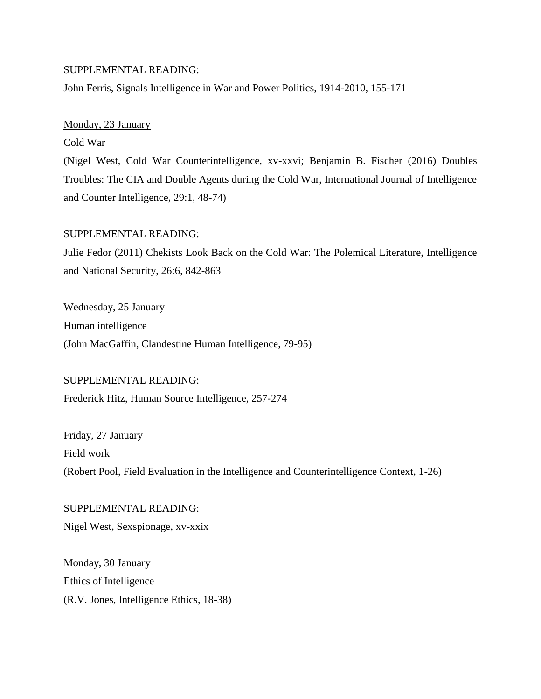John Ferris, Signals Intelligence in War and Power Politics, 1914-2010, 155-171

#### Monday, 23 January

Cold War

(Nigel West, Cold War Counterintelligence, xv-xxvi; Benjamin B. Fischer (2016) Doubles Troubles: The CIA and Double Agents during the Cold War, International Journal of Intelligence and Counter Intelligence, 29:1, 48-74)

#### SUPPLEMENTAL READING:

Julie Fedor (2011) Chekists Look Back on the Cold War: The Polemical Literature, Intelligence and National Security, 26:6, 842-863

Wednesday, 25 January Human intelligence (John MacGaffin, Clandestine Human Intelligence, 79-95)

#### SUPPLEMENTAL READING:

Frederick Hitz, Human Source Intelligence, 257-274

Friday, 27 January Field work (Robert Pool, Field Evaluation in the Intelligence and Counterintelligence Context, 1-26)

#### SUPPLEMENTAL READING:

Nigel West, Sexspionage, xv-xxix

Monday, 30 January Ethics of Intelligence (R.V. Jones, Intelligence Ethics, 18-38)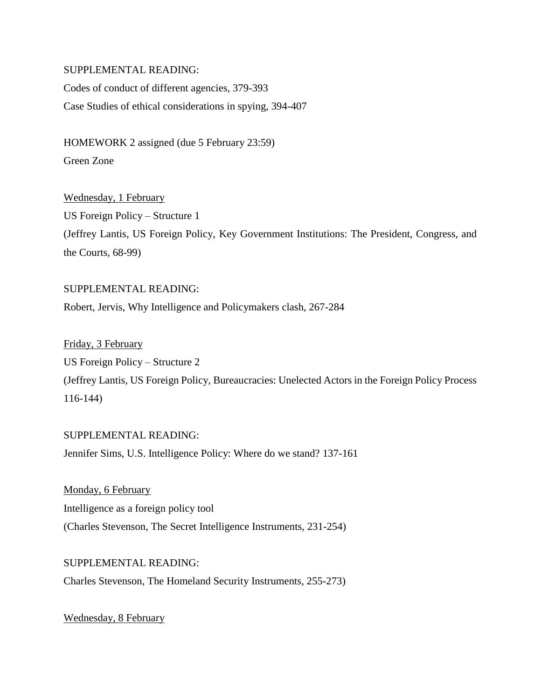Codes of conduct of different agencies, 379-393 Case Studies of ethical considerations in spying, 394-407

HOMEWORK 2 assigned (due 5 February 23:59) Green Zone

Wednesday, 1 February US Foreign Policy – Structure 1 (Jeffrey Lantis, US Foreign Policy, Key Government Institutions: The President, Congress, and the Courts, 68-99)

SUPPLEMENTAL READING: Robert, Jervis, Why Intelligence and Policymakers clash, 267-284

Friday, 3 February US Foreign Policy – Structure 2 (Jeffrey Lantis, US Foreign Policy, Bureaucracies: Unelected Actors in the Foreign Policy Process 116-144)

SUPPLEMENTAL READING: Jennifer Sims, U.S. Intelligence Policy: Where do we stand? 137-161

Monday, 6 February Intelligence as a foreign policy tool (Charles Stevenson, The Secret Intelligence Instruments, 231-254)

SUPPLEMENTAL READING: Charles Stevenson, The Homeland Security Instruments, 255-273)

Wednesday, 8 February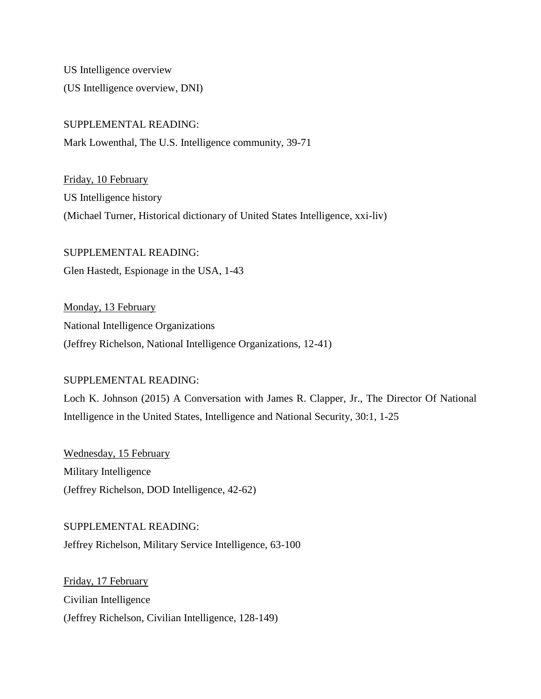US Intelligence overview (US Intelligence overview, DNI)

## SUPPLEMENTAL READING:

Mark Lowenthal, The U.S. Intelligence community, 39-71

Friday, 10 February US Intelligence history (Michael Turner, Historical dictionary of United States Intelligence, xxi-liv)

SUPPLEMENTAL READING: Glen Hastedt, Espionage in the USA, 1-43

Monday, 13 February National Intelligence Organizations (Jeffrey Richelson, National Intelligence Organizations, 12-41)

## SUPPLEMENTAL READING:

Loch K. Johnson (2015) A Conversation with James R. Clapper, Jr., The Director Of National Intelligence in the United States, Intelligence and National Security, 30:1, 1-25

Wednesday, 15 February Military Intelligence (Jeffrey Richelson, DOD Intelligence, 42-62)

SUPPLEMENTAL READING: Jeffrey Richelson, Military Service Intelligence, 63-100

Friday, 17 February Civilian Intelligence (Jeffrey Richelson, Civilian Intelligence, 128-149)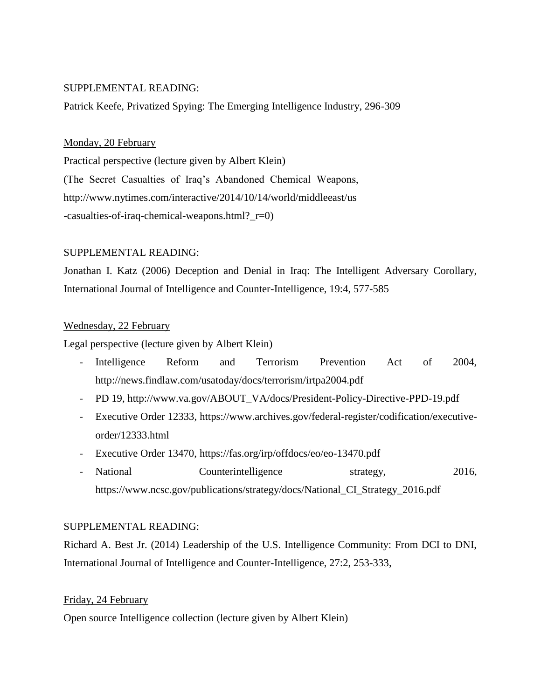Patrick Keefe, Privatized Spying: The Emerging Intelligence Industry, 296-309

## Monday, 20 February

Practical perspective (lecture given by Albert Klein) (The Secret Casualties of Iraq's Abandoned Chemical Weapons, [http://www.nytimes.com/interactive/2014/10/14/world/middleeast/us](http://www.nytimes.com/interactive/2014/10/14/world/middleeast/us-casualties-of-iraq-chemical-weapons.html?_r=0) [-casualties-of-iraq-chemical-weapons.html?\\_r=0\)](http://www.nytimes.com/interactive/2014/10/14/world/middleeast/us-casualties-of-iraq-chemical-weapons.html?_r=0)

# SUPPLEMENTAL READING:

Jonathan I. Katz (2006) Deception and Denial in Iraq: The Intelligent Adversary Corollary, International Journal of Intelligence and Counter-Intelligence, 19:4, 577-585

# Wednesday, 22 February

Legal perspective (lecture given by Albert Klein)

- Intelligence Reform and Terrorism Prevention Act of 2004, <http://news.findlaw.com/usatoday/docs/terrorism/irtpa2004.pdf>
- PD 19, [http://www.va.gov/ABOUT\\_VA/docs/President-Policy-Directive-PPD-19.pdf](http://www.va.gov/ABOUT_VA/docs/President-Policy-Directive-PPD-19.pdf)
- [Executive Order 12333,](https://en.wikipedia.org/wiki/Executive_Order_12333) [https://www.archives.gov/federal-register/codification/executive](https://www.archives.gov/federal-register/codification/executive-order/12333.html)[order/12333.html](https://www.archives.gov/federal-register/codification/executive-order/12333.html)
- Executive Order 13470,<https://fas.org/irp/offdocs/eo/eo-13470.pdf>
- National Counterintelligence strategy, 2016, https://www.ncsc.gov/publications/strategy/docs/National\_CI\_Strategy\_2016.pdf

# SUPPLEMENTAL READING:

Richard A. Best Jr. (2014) Leadership of the U.S. Intelligence Community: From DCI to DNI, International Journal of Intelligence and Counter-Intelligence, 27:2, 253-333,

# Friday, 24 February

Open source Intelligence collection (lecture given by Albert Klein)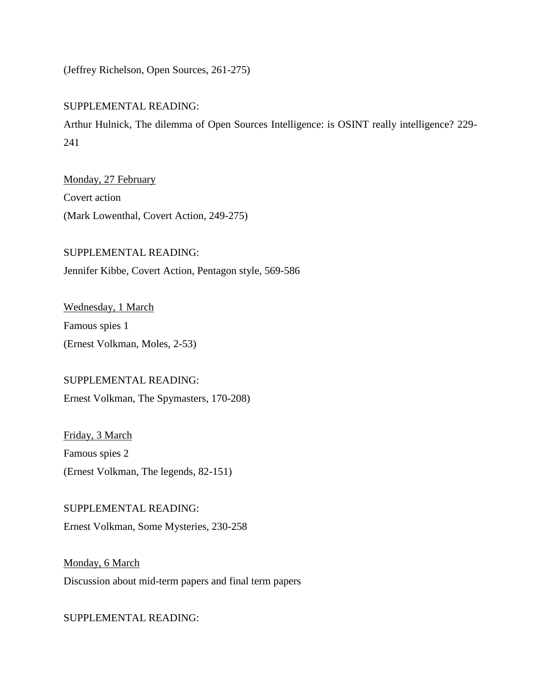(Jeffrey Richelson, Open Sources, 261-275)

# SUPPLEMENTAL READING:

Arthur Hulnick, The dilemma of Open Sources Intelligence: is OSINT really intelligence? 229- 241

Monday, 27 February Covert action (Mark Lowenthal, Covert Action, 249-275)

SUPPLEMENTAL READING: Jennifer Kibbe, Covert Action, Pentagon style, 569-586

Wednesday, 1 March Famous spies 1 (Ernest Volkman, Moles, 2-53)

## SUPPLEMENTAL READING:

Ernest Volkman, The Spymasters, 170-208)

Friday, 3 March Famous spies 2 (Ernest Volkman, The legends, 82-151)

SUPPLEMENTAL READING: Ernest Volkman, Some Mysteries, 230-258

Monday, 6 March Discussion about mid-term papers and final term papers

SUPPLEMENTAL READING: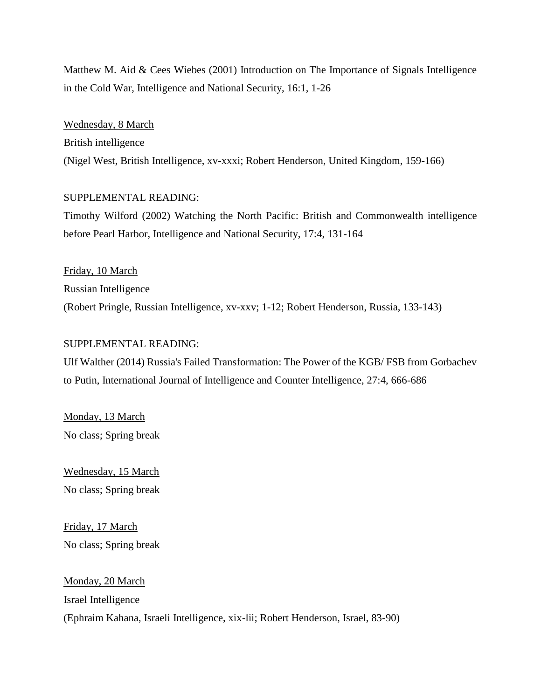Matthew M. Aid & Cees Wiebes (2001) Introduction on The Importance of Signals Intelligence in the Cold War, Intelligence and National Security, 16:1, 1-26

Wednesday, 8 March British intelligence (Nigel West, British Intelligence, xv-xxxi; Robert Henderson, United Kingdom, 159-166)

#### SUPPLEMENTAL READING:

Timothy Wilford (2002) Watching the North Pacific: British and Commonwealth intelligence before Pearl Harbor, Intelligence and National Security, 17:4, 131-164

Friday, 10 March Russian Intelligence (Robert Pringle, Russian Intelligence, xv-xxv; 1-12; Robert Henderson, Russia, 133-143)

#### SUPPLEMENTAL READING:

Ulf Walther (2014) Russia's Failed Transformation: The Power of the KGB/ FSB from Gorbachev to Putin, International Journal of Intelligence and Counter Intelligence, 27:4, 666-686

Monday, 13 March No class; Spring break

Wednesday, 15 March No class; Spring break

Friday, 17 March No class; Spring break

Monday, 20 March Israel Intelligence (Ephraim Kahana, Israeli Intelligence, xix-lii; Robert Henderson, Israel, 83-90)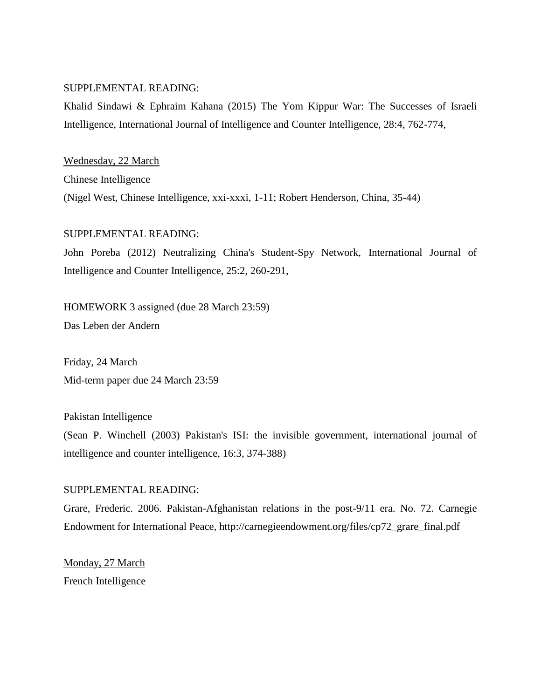Khalid Sindawi & Ephraim Kahana (2015) The Yom Kippur War: The Successes of Israeli Intelligence, International Journal of Intelligence and Counter Intelligence, 28:4, 762-774,

Wednesday, 22 March Chinese Intelligence (Nigel West, Chinese Intelligence, xxi-xxxi, 1-11; Robert Henderson, China, 35-44)

#### SUPPLEMENTAL READING:

John Poreba (2012) Neutralizing China's Student-Spy Network, International Journal of Intelligence and Counter Intelligence, 25:2, 260-291,

HOMEWORK 3 assigned (due 28 March 23:59)

Das Leben der Andern

Friday, 24 March Mid-term paper due 24 March 23:59

Pakistan Intelligence

(Sean P. Winchell (2003) Pakistan's ISI: the invisible government, international journal of intelligence and counter intelligence, 16:3, 374-388)

#### SUPPLEMENTAL READING:

Grare, Frederic. 2006. Pakistan-Afghanistan relations in the post-9/11 era. No. 72. Carnegie Endowment for International Peace, [http://carnegieendowment.org/files/cp72\\_grare\\_final.pdf](http://carnegieendowment.org/files/cp72_grare_final.pdf)

Monday, 27 March French Intelligence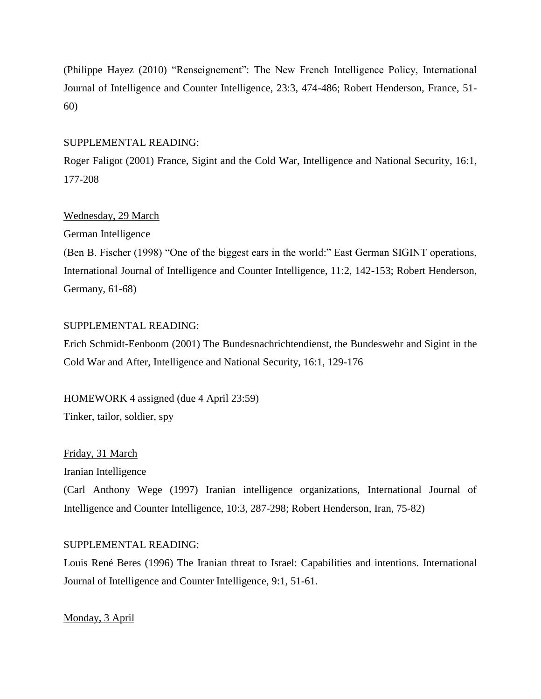(Philippe Hayez (2010) "Renseignement": The New French Intelligence Policy, International Journal of Intelligence and Counter Intelligence, 23:3, 474-486; Robert Henderson, France, 51- 60)

## SUPPLEMENTAL READING:

Roger Faligot (2001) France, Sigint and the Cold War, Intelligence and National Security, 16:1, 177-208

# Wednesday, 29 March

German Intelligence

(Ben B. Fischer (1998) "One of the biggest ears in the world:" East German SIGINT operations, International Journal of Intelligence and Counter Intelligence, 11:2, 142-153; Robert Henderson, Germany, 61-68)

# SUPPLEMENTAL READING:

Erich Schmidt-Eenboom (2001) The Bundesnachrichtendienst, the Bundeswehr and Sigint in the Cold War and After, Intelligence and National Security, 16:1, 129-176

HOMEWORK 4 assigned (due 4 April 23:59) Tinker, tailor, soldier, spy

Friday, 31 March

Iranian Intelligence

(Carl Anthony Wege (1997) Iranian intelligence organizations, International Journal of Intelligence and Counter Intelligence, 10:3, 287-298; Robert Henderson, Iran, 75-82)

# SUPPLEMENTAL READING:

Louis René Beres (1996) The Iranian threat to Israel: Capabilities and intentions. International Journal of Intelligence and Counter Intelligence, 9:1, 51-61.

Monday, 3 April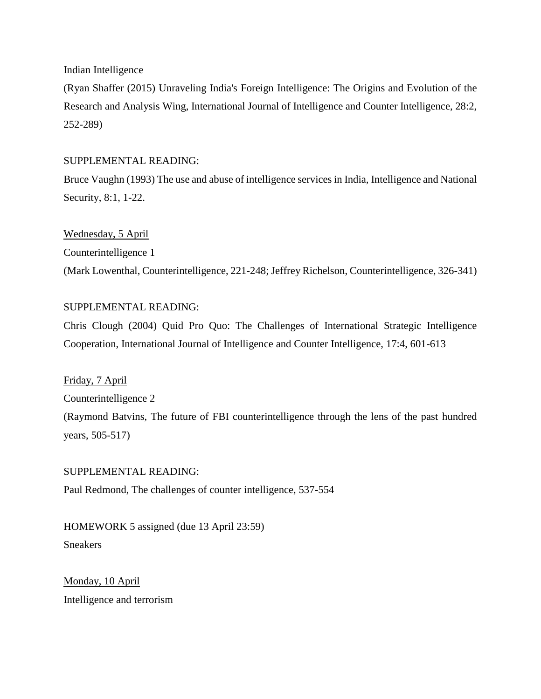Indian Intelligence

(Ryan Shaffer (2015) Unraveling India's Foreign Intelligence: The Origins and Evolution of the Research and Analysis Wing, International Journal of Intelligence and Counter Intelligence, 28:2, 252-289)

# SUPPLEMENTAL READING:

Bruce Vaughn (1993) The use and abuse of intelligence services in India, Intelligence and National Security, 8:1, 1-22.

Wednesday, 5 April Counterintelligence 1 (Mark Lowenthal, Counterintelligence, 221-248; Jeffrey Richelson, Counterintelligence, 326-341)

# SUPPLEMENTAL READING:

Chris Clough (2004) Quid Pro Quo: The Challenges of International Strategic Intelligence Cooperation, International Journal of Intelligence and Counter Intelligence, 17:4, 601-613

Friday, 7 April Counterintelligence 2 (Raymond Batvins, The future of FBI counterintelligence through the lens of the past hundred years, 505-517)

## SUPPLEMENTAL READING:

Paul Redmond, The challenges of counter intelligence, 537-554

HOMEWORK 5 assigned (due 13 April 23:59) Sneakers

Monday, 10 April Intelligence and terrorism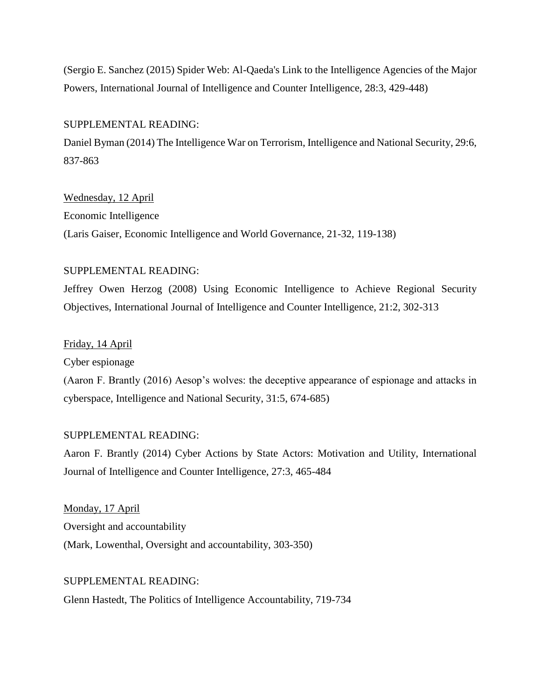(Sergio E. Sanchez (2015) Spider Web: Al-Qaeda's Link to the Intelligence Agencies of the Major Powers, International Journal of Intelligence and Counter Intelligence, 28:3, 429-448)

#### SUPPLEMENTAL READING:

Daniel Byman (2014) The Intelligence War on Terrorism, Intelligence and National Security, 29:6, 837-863

#### Wednesday, 12 April

Economic Intelligence

(Laris Gaiser, Economic Intelligence and World Governance, 21-32, 119-138)

#### SUPPLEMENTAL READING:

Jeffrey Owen Herzog (2008) Using Economic Intelligence to Achieve Regional Security Objectives, International Journal of Intelligence and Counter Intelligence, 21:2, 302-313

#### Friday, 14 April

Cyber espionage

(Aaron F. Brantly (2016) Aesop's wolves: the deceptive appearance of espionage and attacks in cyberspace, Intelligence and National Security, 31:5, 674-685)

#### SUPPLEMENTAL READING:

Aaron F. Brantly (2014) Cyber Actions by State Actors: Motivation and Utility, International Journal of Intelligence and Counter Intelligence, 27:3, 465-484

Monday, 17 April Oversight and accountability (Mark, Lowenthal, Oversight and accountability, 303-350)

SUPPLEMENTAL READING: Glenn Hastedt, The Politics of Intelligence Accountability, 719-734